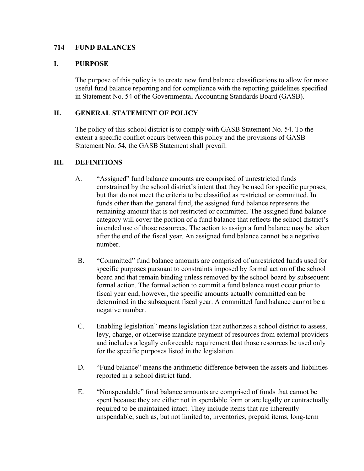# **714 FUND BALANCES**

#### **I. PURPOSE**

The purpose of this policy is to create new fund balance classifications to allow for more useful fund balance reporting and for compliance with the reporting guidelines specified in Statement No. 54 of the Governmental Accounting Standards Board (GASB).

#### **II. GENERAL STATEMENT OF POLICY**

The policy of this school district is to comply with GASB Statement No. 54. To the extent a specific conflict occurs between this policy and the provisions of GASB Statement No. 54, the GASB Statement shall prevail.

#### **III. DEFINITIONS**

- A. "Assigned" fund balance amounts are comprised of unrestricted funds constrained by the school district's intent that they be used for specific purposes, but that do not meet the criteria to be classified as restricted or committed. In funds other than the general fund, the assigned fund balance represents the remaining amount that is not restricted or committed. The assigned fund balance category will cover the portion of a fund balance that reflects the school district's intended use of those resources. The action to assign a fund balance may be taken after the end of the fiscal year. An assigned fund balance cannot be a negative number.
- B. "Committed" fund balance amounts are comprised of unrestricted funds used for specific purposes pursuant to constraints imposed by formal action of the school board and that remain binding unless removed by the school board by subsequent formal action. The formal action to commit a fund balance must occur prior to fiscal year end; however, the specific amounts actually committed can be determined in the subsequent fiscal year. A committed fund balance cannot be a negative number.
- C. Enabling legislation" means legislation that authorizes a school district to assess, levy, charge, or otherwise mandate payment of resources from external providers and includes a legally enforceable requirement that those resources be used only for the specific purposes listed in the legislation.
- D. "Fund balance" means the arithmetic difference between the assets and liabilities reported in a school district fund.
- E. "Nonspendable" fund balance amounts are comprised of funds that cannot be spent because they are either not in spendable form or are legally or contractually required to be maintained intact. They include items that are inherently unspendable, such as, but not limited to, inventories, prepaid items, long-term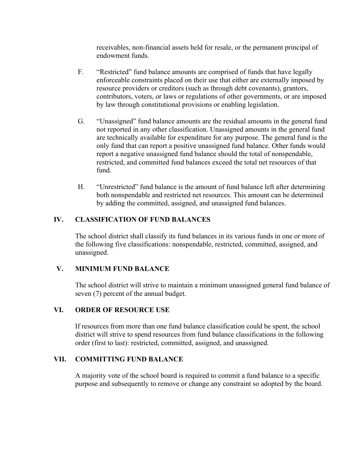receivables, non-financial assets held for resale, or the permanent principal of endowment funds.

- F. "Restricted" fund balance amounts are comprised of funds that have legally enforceable constraints placed on their use that either are externally imposed by resource providers or creditors (such as through debt covenants), grantors, contributors, voters, or laws or regulations of other governments, or are imposed by law through constitutional provisions or enabling legislation.
- G. "Unassigned" fund balance amounts are the residual amounts in the general fund not reported in any other classification. Unassigned amounts in the general fund are technically available for expenditure for any purpose. The general fund is the only fund that can report a positive unassigned fund balance. Other funds would report a negative unassigned fund balance should the total of nonspendable, restricted, and committed fund balances exceed the total net resources of that fund.
- H. "Unrestricted" fund balance is the amount of fund balance left after determining both nonspendable and restricted net resources. This amount can be determined by adding the committed, assigned, and unassigned fund balances.

# **IV. CLASSIFICATION OF FUND BALANCES**

The school district shall classify its fund balances in its various funds in one or more of the following five classifications: nonspendable, restricted, committed, assigned, and unassigned.

# **V. MINIMUM FUND BALANCE**

The school district will strive to maintain a minimum unassigned general fund balance of seven (7) percent of the annual budget.

# **VI. ORDER OF RESOURCE USE**

If resources from more than one fund balance classification could be spent, the school district will strive to spend resources from fund balance classifications in the following order (first to last): restricted, committed, assigned, and unassigned.

# **VII. COMMITTING FUND BALANCE**

A majority vote of the school board is required to commit a fund balance to a specific purpose and subsequently to remove or change any constraint so adopted by the board.